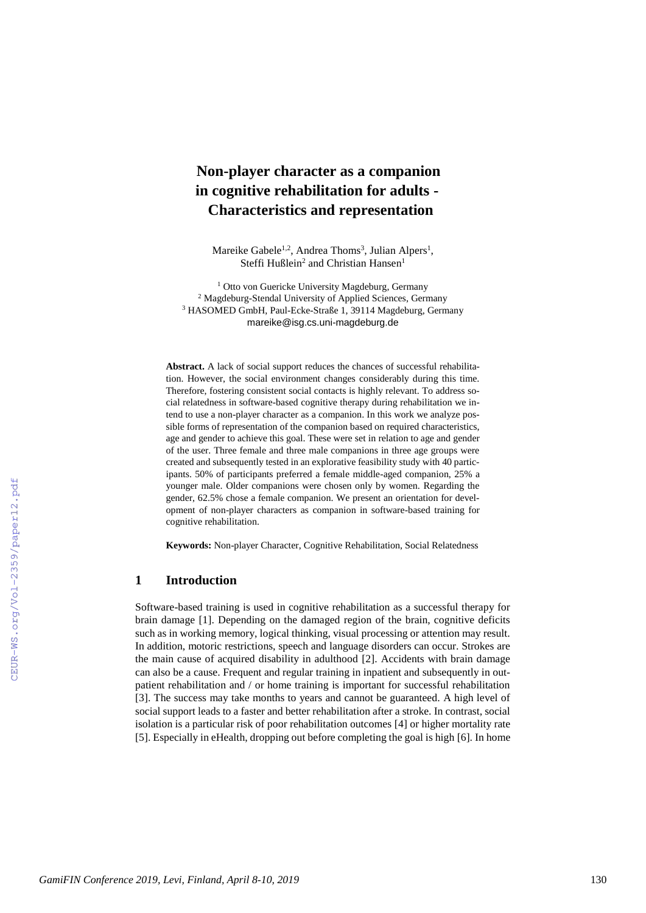# **Non-player character as a companion in cognitive rehabilitation for adults - Characteristics and representation**

Mareike Gabele<sup>1,2</sup>, Andrea Thoms<sup>3</sup>, Julian Alpers<sup>1</sup>, Steffi Hußlein<sup>2</sup> and Christian Hansen<sup>1</sup>

<sup>1</sup> Otto von Guericke University Magdeburg, Germany <sup>2</sup> Magdeburg-Stendal University of Applied Sciences, Germany <sup>3</sup> HASOMED GmbH, Paul-Ecke-Straße 1, 39114 Magdeburg, Germany mareike@isg.cs.uni-magdeburg.de

**Abstract.** A lack of social support reduces the chances of successful rehabilitation. However, the social environment changes considerably during this time. Therefore, fostering consistent social contacts is highly relevant. To address social relatedness in software-based cognitive therapy during rehabilitation we intend to use a non-player character as a companion. In this work we analyze possible forms of representation of the companion based on required characteristics, age and gender to achieve this goal. These were set in relation to age and gender of the user. Three female and three male companions in three age groups were created and subsequently tested in an explorative feasibility study with 40 participants. 50% of participants preferred a female middle-aged companion, 25% a younger male. Older companions were chosen only by women. Regarding the gender, 62.5% chose a female companion. We present an orientation for development of non-player characters as companion in software-based training for cognitive rehabilitation.

**Keywords:** Non-player Character, Cognitive Rehabilitation, Social Relatedness

# **1 Introduction**

Software-based training is used in cognitive rehabilitation as a successful therapy for brain damage [\[1\]](#page--1-0). Depending on the damaged region of the brain, cognitive deficits such as in working memory, logical thinking, visual processing or attention may result. In addition, motoric restrictions, speech and language disorders can occur. Strokes are the main cause of acquired disability in adulthood [\[2\]](#page--1-1). Accidents with brain damage can also be a cause. Frequent and regular training in inpatient and subsequently in outpatient rehabilitation and / or home training is important for successful rehabilitation [\[3\]](#page--1-2). The success may take months to years and cannot be guaranteed. A high level of social support leads to a faster and better rehabilitation after a stroke. In contrast, social isolation is a particular risk of poor rehabilitation outcomes [\[4\]](#page--1-3) or higher mortality rate [\[5\]](#page--1-4). Especially in eHealth, dropping out before completing the goal is high [\[6\]](#page--1-5). In home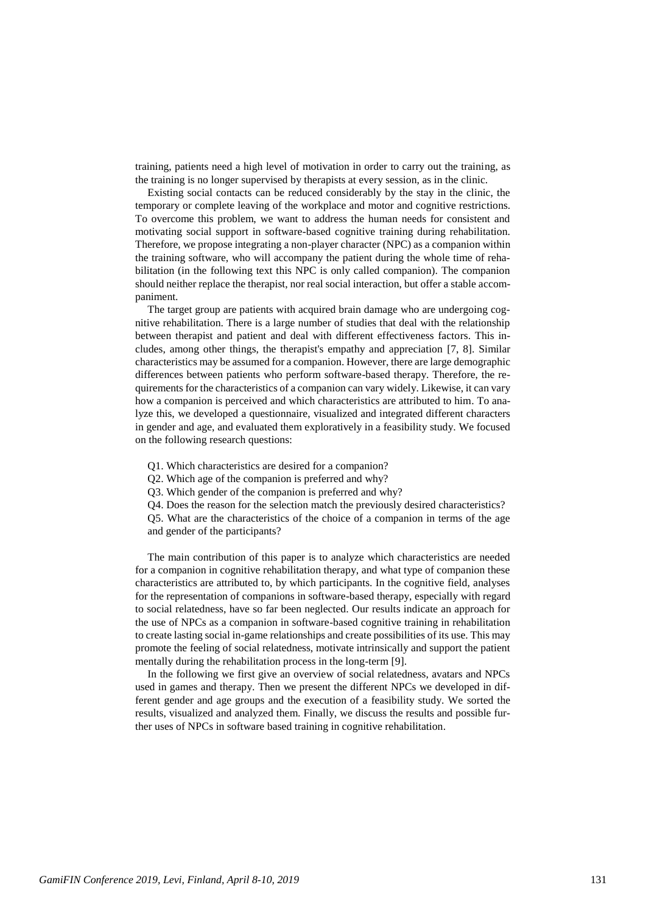training, patients need a high level of motivation in order to carry out the training, as the training is no longer supervised by therapists at every session, as in the clinic.

Existing social contacts can be reduced considerably by the stay in the clinic, the temporary or complete leaving of the workplace and motor and cognitive restrictions. To overcome this problem, we want to address the human needs for consistent and motivating social support in software-based cognitive training during rehabilitation. Therefore, we propose integrating a non-player character (NPC) as a companion within the training software, who will accompany the patient during the whole time of rehabilitation (in the following text this NPC is only called companion). The companion should neither replace the therapist, nor real social interaction, but offer a stable accompaniment.

The target group are patients with acquired brain damage who are undergoing cognitive rehabilitation. There is a large number of studies that deal with the relationship between therapist and patient and deal with different effectiveness factors. This includes, among other things, the therapist's empathy and appreciation [\[7,](#page-10-0) [8\]](#page-10-1). Similar characteristics may be assumed for a companion. However, there are large demographic differences between patients who perform software-based therapy. Therefore, the requirements for the characteristics of a companion can vary widely. Likewise, it can vary how a companion is perceived and which characteristics are attributed to him. To analyze this, we developed a questionnaire, visualized and integrated different characters in gender and age, and evaluated them exploratively in a feasibility study. We focused on the following research questions:

- Q1. Which characteristics are desired for a companion?
- Q2. Which age of the companion is preferred and why?
- Q3. Which gender of the companion is preferred and why?
- Q4. Does the reason for the selection match the previously desired characteristics?

Q5. What are the characteristics of the choice of a companion in terms of the age and gender of the participants?

The main contribution of this paper is to analyze which characteristics are needed for a companion in cognitive rehabilitation therapy, and what type of companion these characteristics are attributed to, by which participants. In the cognitive field, analyses for the representation of companions in software-based therapy, especially with regard to social relatedness, have so far been neglected. Our results indicate an approach for the use of NPCs as a companion in software-based cognitive training in rehabilitation to create lasting social in-game relationships and create possibilities of its use. This may promote the feeling of social relatedness, motivate intrinsically and support the patient mentally during the rehabilitation process in the long-term [\[9\]](#page-10-2).

In the following we first give an overview of social relatedness, avatars and NPCs used in games and therapy. Then we present the different NPCs we developed in different gender and age groups and the execution of a feasibility study. We sorted the results, visualized and analyzed them. Finally, we discuss the results and possible further uses of NPCs in software based training in cognitive rehabilitation.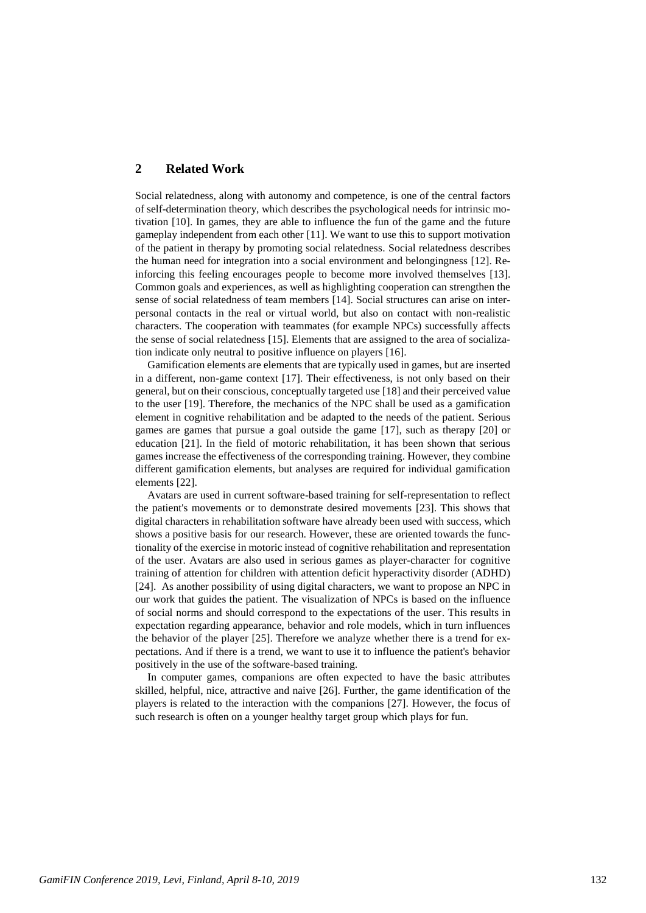# **2 Related Work**

Social relatedness, along with autonomy and competence, is one of the central factors of self-determination theory, which describes the psychological needs for intrinsic motivation [\[10\]](#page-10-3). In games, they are able to influence the fun of the game and the future gameplay independent from each other [\[11\]](#page-11-0). We want to use this to support motivation of the patient in therapy by promoting social relatedness. Social relatedness describes the human need for integration into a social environment and belongingness [\[12\]](#page-11-1). Reinforcing this feeling encourages people to become more involved themselves [\[13\]](#page-11-2). Common goals and experiences, as well as highlighting cooperation can strengthen the sense of social relatedness of team members [\[14\]](#page-11-3). Social structures can arise on interpersonal contacts in the real or virtual world, but also on contact with non-realistic characters. The cooperation with teammates (for example NPCs) successfully affects the sense of social relatedness [\[15\]](#page-11-4). Elements that are assigned to the area of socialization indicate only neutral to positive influence on players [\[16\]](#page-11-5).

Gamification elements are elements that are typically used in games, but are inserted in a different, non-game context [\[17\]](#page-11-6). Their effectiveness, is not only based on their general, but on their conscious, conceptually targeted use [\[18\]](#page-11-7) and their perceived value to the user [\[19\]](#page-11-8). Therefore, the mechanics of the NPC shall be used as a gamification element in cognitive rehabilitation and be adapted to the needs of the patient. Serious games are games that pursue a goal outside the game [\[17\]](#page-11-6), such as therapy [\[20\]](#page-11-9) or education [\[21\]](#page-11-10). In the field of motoric rehabilitation, it has been shown that serious games increase the effectiveness of the corresponding training. However, they combine different gamification elements, but analyses are required for individual gamification elements [\[22\]](#page-11-11).

Avatars are used in current software-based training for self-representation to reflect the patient's movements or to demonstrate desired movements [\[23\]](#page-11-12). This shows that digital characters in rehabilitation software have already been used with success, which shows a positive basis for our research. However, these are oriented towards the functionality of the exercise in motoric instead of cognitive rehabilitation and representation of the user. Avatars are also used in serious games as player-character for cognitive training of attention for children with attention deficit hyperactivity disorder (ADHD) [\[24\]](#page-11-13). As another possibility of using digital characters, we want to propose an NPC in our work that guides the patient. The visualization of NPCs is based on the influence of social norms and should correspond to the expectations of the user. This results in expectation regarding appearance, behavior and role models, which in turn influences the behavior of the player [\[25\]](#page-11-14). Therefore we analyze whether there is a trend for expectations. And if there is a trend, we want to use it to influence the patient's behavior positively in the use of the software-based training.

In computer games, companions are often expected to have the basic attributes skilled, helpful, nice, attractive and naive [\[26\]](#page-11-15). Further, the game identification of the players is related to the interaction with the companions [\[27\]](#page-11-16). However, the focus of such research is often on a younger healthy target group which plays for fun.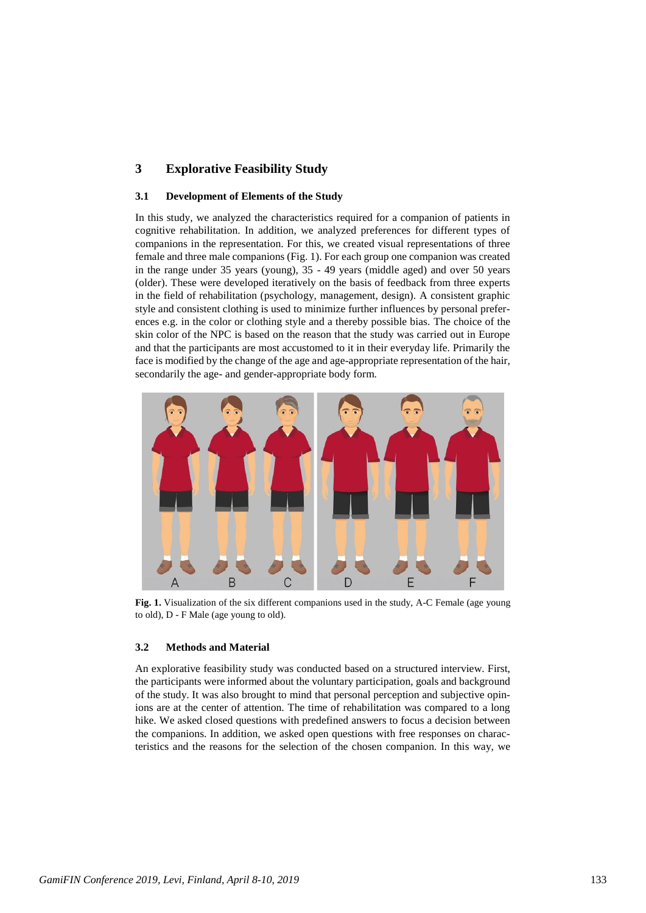# **3 Explorative Feasibility Study**

#### **3.1 Development of Elements of the Study**

In this study, we analyzed the characteristics required for a companion of patients in cognitive rehabilitation. In addition, we analyzed preferences for different types of companions in the representation. For this, we created visual representations of three female and three male companions (Fig. 1). For each group one companion was created in the range under 35 years (young), 35 - 49 years (middle aged) and over 50 years (older). These were developed iteratively on the basis of feedback from three experts in the field of rehabilitation (psychology, management, design). A consistent graphic style and consistent clothing is used to minimize further influences by personal preferences e.g. in the color or clothing style and a thereby possible bias. The choice of the skin color of the NPC is based on the reason that the study was carried out in Europe and that the participants are most accustomed to it in their everyday life. Primarily the face is modified by the change of the age and age-appropriate representation of the hair, secondarily the age- and gender-appropriate body form.



**Fig. 1.** Visualization of the six different companions used in the study, A-C Female (age young to old), D - F Male (age young to old).

#### **3.2 Methods and Material**

An explorative feasibility study was conducted based on a structured interview. First, the participants were informed about the voluntary participation, goals and background of the study. It was also brought to mind that personal perception and subjective opinions are at the center of attention. The time of rehabilitation was compared to a long hike. We asked closed questions with predefined answers to focus a decision between the companions. In addition, we asked open questions with free responses on characteristics and the reasons for the selection of the chosen companion. In this way, we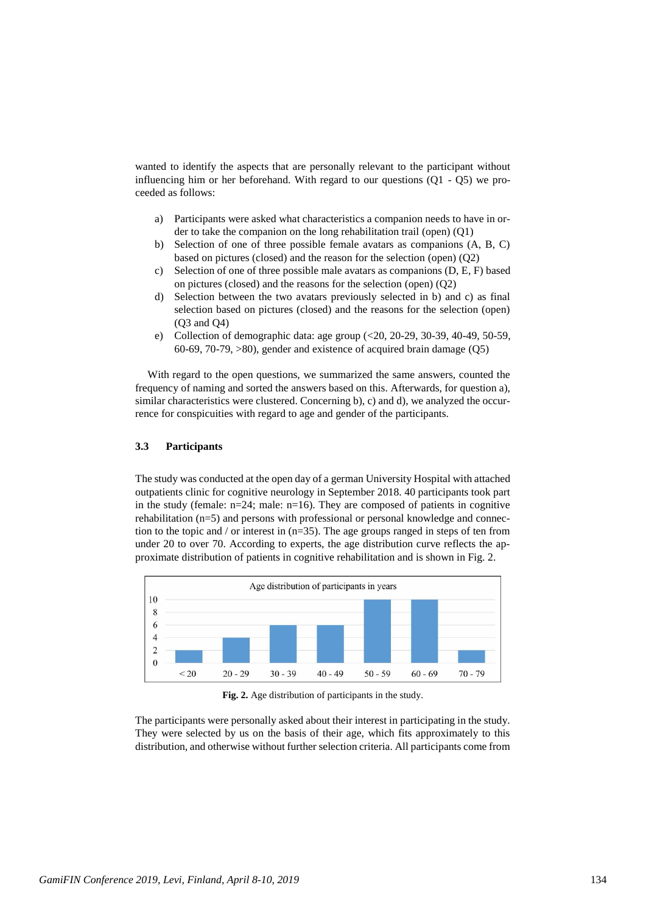wanted to identify the aspects that are personally relevant to the participant without influencing him or her beforehand. With regard to our questions  $(O1 - O5)$  we proceeded as follows:

- a) Participants were asked what characteristics a companion needs to have in order to take the companion on the long rehabilitation trail (open) (Q1)
- b) Selection of one of three possible female avatars as companions (A, B, C) based on pictures (closed) and the reason for the selection (open) (Q2)
- c) Selection of one of three possible male avatars as companions (D, E, F) based on pictures (closed) and the reasons for the selection (open) (Q2)
- d) Selection between the two avatars previously selected in b) and c) as final selection based on pictures (closed) and the reasons for the selection (open) (Q3 and Q4)
- e) Collection of demographic data: age group (<20, 20-29, 30-39, 40-49, 50-59, 60-69, 70-79, >80), gender and existence of acquired brain damage (Q5)

With regard to the open questions, we summarized the same answers, counted the frequency of naming and sorted the answers based on this. Afterwards, for question a), similar characteristics were clustered. Concerning b), c) and d), we analyzed the occurrence for conspicuities with regard to age and gender of the participants.

#### **3.3 Participants**

The study was conducted at the open day of a german University Hospital with attached outpatients clinic for cognitive neurology in September 2018. 40 participants took part in the study (female:  $n=24$ ; male:  $n=16$ ). They are composed of patients in cognitive rehabilitation (n=5) and persons with professional or personal knowledge and connection to the topic and / or interest in  $(n=35)$ . The age groups ranged in steps of ten from under 20 to over 70. According to experts, the age distribution curve reflects the approximate distribution of patients in cognitive rehabilitation and is shown in Fig. 2.



**Fig. 2.** Age distribution of participants in the study.

The participants were personally asked about their interest in participating in the study. They were selected by us on the basis of their age, which fits approximately to this distribution, and otherwise without further selection criteria. All participants come from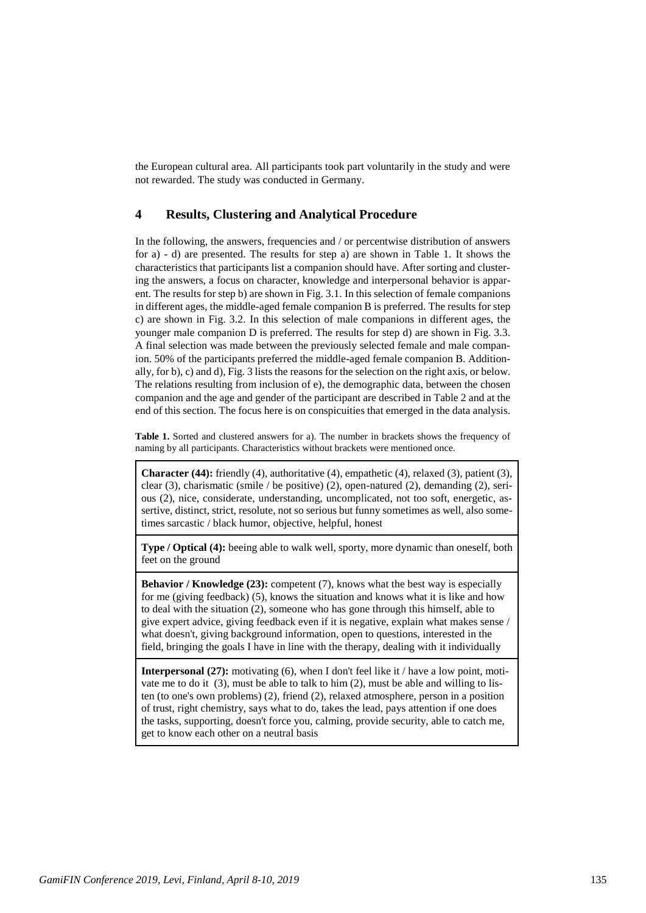the European cultural area. All participants took part voluntarily in the study and were not rewarded. The study was conducted in Germany.

## **4 Results, Clustering and Analytical Procedure**

In the following, the answers, frequencies and / or percentwise distribution of answers for a) - d) are presented. The results for step a) are shown in Table 1. It shows the characteristics that participants list a companion should have. After sorting and clustering the answers, a focus on character, knowledge and interpersonal behavior is apparent. The results for step b) are shown in Fig. 3.1. In this selection of female companions in different ages, the middle-aged female companion B is preferred. The results for step c) are shown in Fig. 3.2. In this selection of male companions in different ages, the younger male companion D is preferred. The results for step d) are shown in Fig. 3.3. A final selection was made between the previously selected female and male companion. 50% of the participants preferred the middle-aged female companion B. Additionally, for b), c) and d), Fig. 3 lists the reasons for the selection on the right axis, or below. The relations resulting from inclusion of e), the demographic data, between the chosen companion and the age and gender of the participant are described in Table 2 and at the end of this section. The focus here is on conspicuities that emerged in the data analysis.

**Table 1.** Sorted and clustered answers for a). The number in brackets shows the frequency of naming by all participants. Characteristics without brackets were mentioned once.

**Character (44):** friendly (4), authoritative (4), empathetic (4), relaxed (3), patient (3), clear (3), charismatic (smile / be positive) (2), open-natured (2), demanding (2), serious (2), nice, considerate, understanding, uncomplicated, not too soft, energetic, assertive, distinct, strict, resolute, not so serious but funny sometimes as well, also sometimes sarcastic / black humor, objective, helpful, honest

**Type / Optical (4):** beeing able to walk well, sporty, more dynamic than oneself, both feet on the ground

**Behavior / Knowledge (23):** competent (7), knows what the best way is especially for me (giving feedback) (5), knows the situation and knows what it is like and how to deal with the situation (2), someone who has gone through this himself, able to give expert advice, giving feedback even if it is negative, explain what makes sense / what doesn't, giving background information, open to questions, interested in the field, bringing the goals I have in line with the therapy, dealing with it individually

**Interpersonal (27):** motivating (6), when I don't feel like it / have a low point, motivate me to do it (3), must be able to talk to him (2), must be able and willing to listen (to one's own problems) (2), friend (2), relaxed atmosphere, person in a position of trust, right chemistry, says what to do, takes the lead, pays attention if one does the tasks, supporting, doesn't force you, calming, provide security, able to catch me, get to know each other on a neutral basis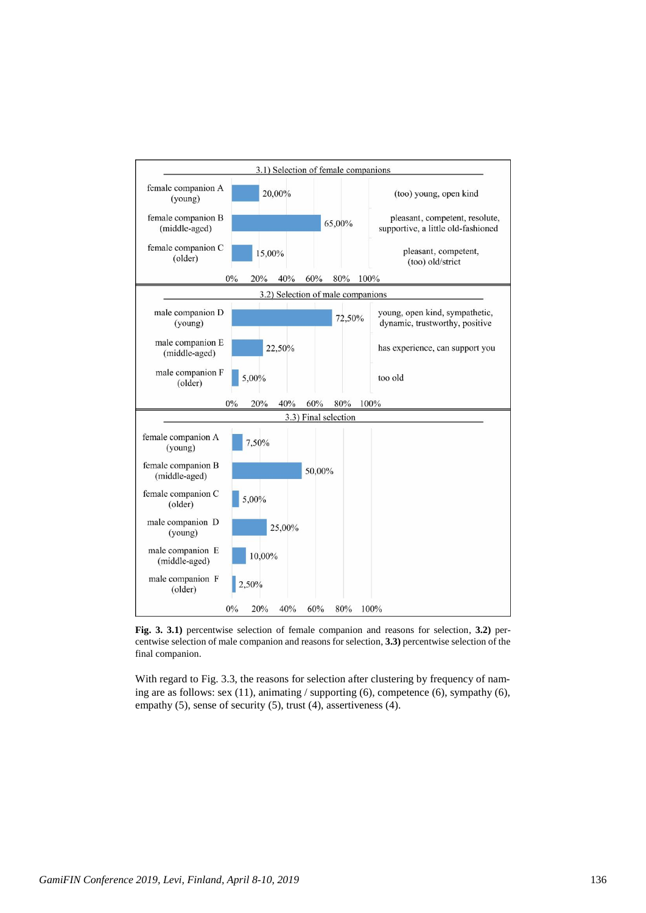

**Fig. 3. 3.1)** percentwise selection of female companion and reasons for selection, **3.2)** percentwise selection of male companion and reasons for selection, **3.3)** percentwise selection of the final companion.

With regard to Fig. 3.3, the reasons for selection after clustering by frequency of naming are as follows: sex (11), animating / supporting (6), competence (6), sympathy (6), empathy (5), sense of security (5), trust (4), assertiveness (4).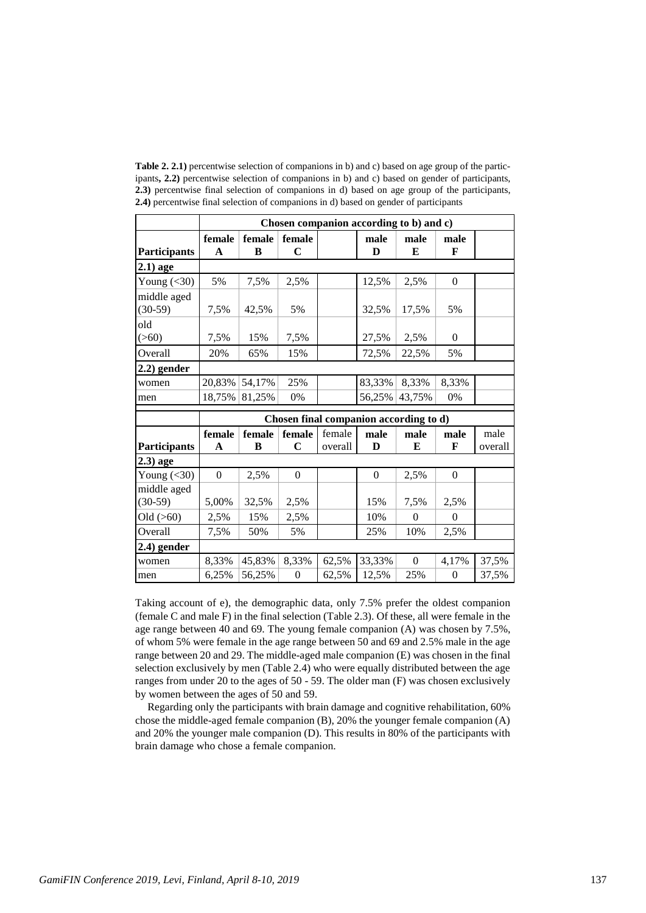**Table 2. 2.1)** percentwise selection of companions in b) and c) based on age group of the participants**, 2.2)** percentwise selection of companions in b) and c) based on gender of participants, **2.3)** percentwise final selection of companions in d) based on age group of the participants, **2.4)** percentwise final selection of companions in d) based on gender of participants

|                     | Chosen companion according to b) and c)                              |        |                  |         |                |                  |                  |         |
|---------------------|----------------------------------------------------------------------|--------|------------------|---------|----------------|------------------|------------------|---------|
|                     | female                                                               | female | female           |         | male           | male             | male             |         |
| <b>Participants</b> | $\mathbf{A}$                                                         | B      | $\mathbf C$      |         | D              | E                | F                |         |
| $2.1)$ age          |                                                                      |        |                  |         |                |                  |                  |         |
| Young $(30)$        | 5%                                                                   | 7,5%   | 2,5%             |         | 12,5%          | 2.5%             | $\mathbf{0}$     |         |
| middle aged         |                                                                      |        |                  |         |                |                  | 5%               |         |
| $(30-59)$           | 7,5%                                                                 | 42,5%  | 5%               |         | 32,5%          | 17,5%            |                  |         |
| old<br>(>60)        | 7,5%                                                                 | 15%    | 7,5%             |         | 27,5%          | 2,5%             | $\mathbf{0}$     |         |
| Overall             | 20%                                                                  | 65%    | 15%              |         | 72,5%          | 22,5%            | 5%               |         |
| $(2.2)$ gender      |                                                                      |        |                  |         |                |                  |                  |         |
| women               | 20,83%                                                               | 54,17% | 25%              |         | 83,33%         | 8,33%            | 8,33%            |         |
| men                 | 18,75%                                                               | 81,25% | 0%               |         | 56,25%         | 43,75%           | $0\%$            |         |
|                     | Chosen final companion according to d)                               |        |                  |         |                |                  |                  |         |
|                     | female<br>female<br>female<br>female<br>male<br>male<br>male<br>male |        |                  |         |                |                  |                  |         |
| <b>Participants</b> | $\mathbf A$                                                          | B      | $\mathbf C$      | overall | D              | E                | F                | overall |
| $2.3)$ age          |                                                                      |        |                  |         |                |                  |                  |         |
| Young $(30)$        | $\Omega$                                                             | 2,5%   | $\mathbf{0}$     |         | $\overline{0}$ | 2,5%             | $\overline{0}$   |         |
| middle aged         |                                                                      |        |                  |         |                |                  |                  |         |
| $(30-59)$           | 5,00%                                                                | 32,5%  | 2,5%             |         | 15%            | 7,5%             | 2,5%             |         |
| Old $(>60)$         | 2,5%                                                                 | 15%    | 2,5%             |         | 10%            | $\theta$         | $\mathbf{0}$     |         |
| Overall             | 7,5%                                                                 | 50%    | 5%               |         | 25%            | 10%              | 2,5%             |         |
| $2.4)$ gender       |                                                                      |        |                  |         |                |                  |                  |         |
| women               | 8,33%                                                                | 45,83% | 8,33%            | 62,5%   | 33,33%         | $\boldsymbol{0}$ | 4,17%            | 37,5%   |
| men                 | 6,25%                                                                | 56,25% | $\boldsymbol{0}$ | 62,5%   | 12,5%          | 25%              | $\boldsymbol{0}$ | 37,5%   |

Taking account of e), the demographic data, only 7.5% prefer the oldest companion (female C and male F) in the final selection (Table 2.3). Of these, all were female in the age range between 40 and 69. The young female companion (A) was chosen by 7.5%, of whom 5% were female in the age range between 50 and 69 and 2.5% male in the age range between 20 and 29. The middle-aged male companion (E) was chosen in the final selection exclusively by men (Table 2.4) who were equally distributed between the age ranges from under 20 to the ages of 50 - 59. The older man (F) was chosen exclusively by women between the ages of 50 and 59.

Regarding only the participants with brain damage and cognitive rehabilitation, 60% chose the middle-aged female companion (B), 20% the younger female companion (A) and 20% the younger male companion (D). This results in 80% of the participants with brain damage who chose a female companion.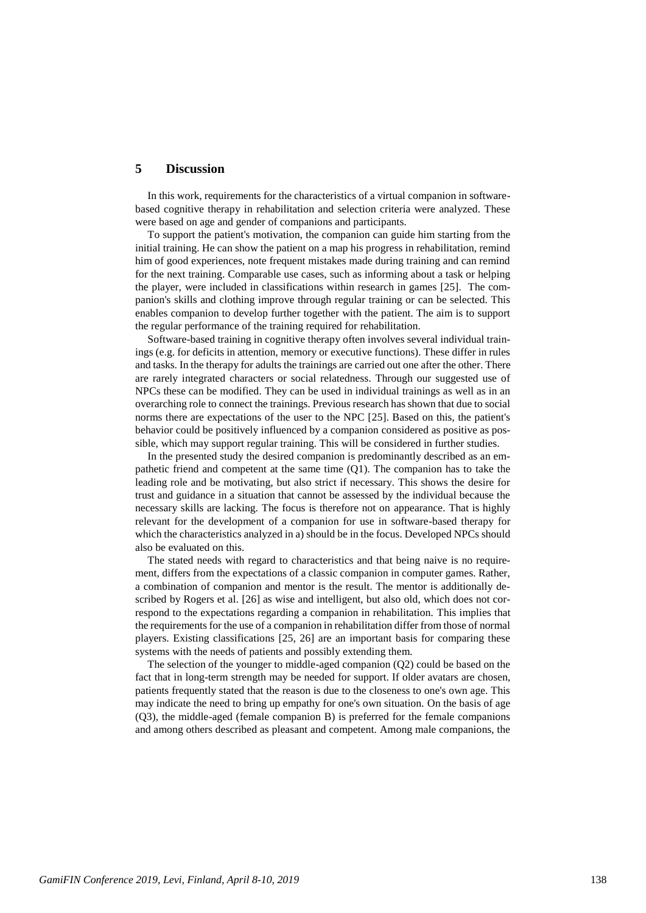### **5 Discussion**

In this work, requirements for the characteristics of a virtual companion in softwarebased cognitive therapy in rehabilitation and selection criteria were analyzed. These were based on age and gender of companions and participants.

To support the patient's motivation, the companion can guide him starting from the initial training. He can show the patient on a map his progress in rehabilitation, remind him of good experiences, note frequent mistakes made during training and can remind for the next training. Comparable use cases, such as informing about a task or helping the player, were included in classifications within research in games [\[25\]](#page-11-14). The companion's skills and clothing improve through regular training or can be selected. This enables companion to develop further together with the patient. The aim is to support the regular performance of the training required for rehabilitation.

Software-based training in cognitive therapy often involves several individual trainings (e.g. for deficits in attention, memory or executive functions). These differ in rules and tasks. In the therapy for adults the trainings are carried out one after the other. There are rarely integrated characters or social relatedness. Through our suggested use of NPCs these can be modified. They can be used in individual trainings as well as in an overarching role to connect the trainings. Previous research has shown that due to social norms there are expectations of the user to the NPC [\[25\]](#page-11-14). Based on this, the patient's behavior could be positively influenced by a companion considered as positive as possible, which may support regular training. This will be considered in further studies.

In the presented study the desired companion is predominantly described as an empathetic friend and competent at the same time (Q1). The companion has to take the leading role and be motivating, but also strict if necessary. This shows the desire for trust and guidance in a situation that cannot be assessed by the individual because the necessary skills are lacking. The focus is therefore not on appearance. That is highly relevant for the development of a companion for use in software-based therapy for which the characteristics analyzed in a) should be in the focus. Developed NPCs should also be evaluated on this.

The stated needs with regard to characteristics and that being naive is no requirement, differs from the expectations of a classic companion in computer games. Rather, a combination of companion and mentor is the result. The mentor is additionally described by Rogers et al. [\[26\]](#page-11-15) as wise and intelligent, but also old, which does not correspond to the expectations regarding a companion in rehabilitation. This implies that the requirements for the use of a companion in rehabilitation differ from those of normal players. Existing classifications [\[25,](#page-11-14) [26\]](#page-11-15) are an important basis for comparing these systems with the needs of patients and possibly extending them.

The selection of the younger to middle-aged companion (Q2) could be based on the fact that in long-term strength may be needed for support. If older avatars are chosen, patients frequently stated that the reason is due to the closeness to one's own age. This may indicate the need to bring up empathy for one's own situation. On the basis of age (Q3), the middle-aged (female companion B) is preferred for the female companions and among others described as pleasant and competent. Among male companions, the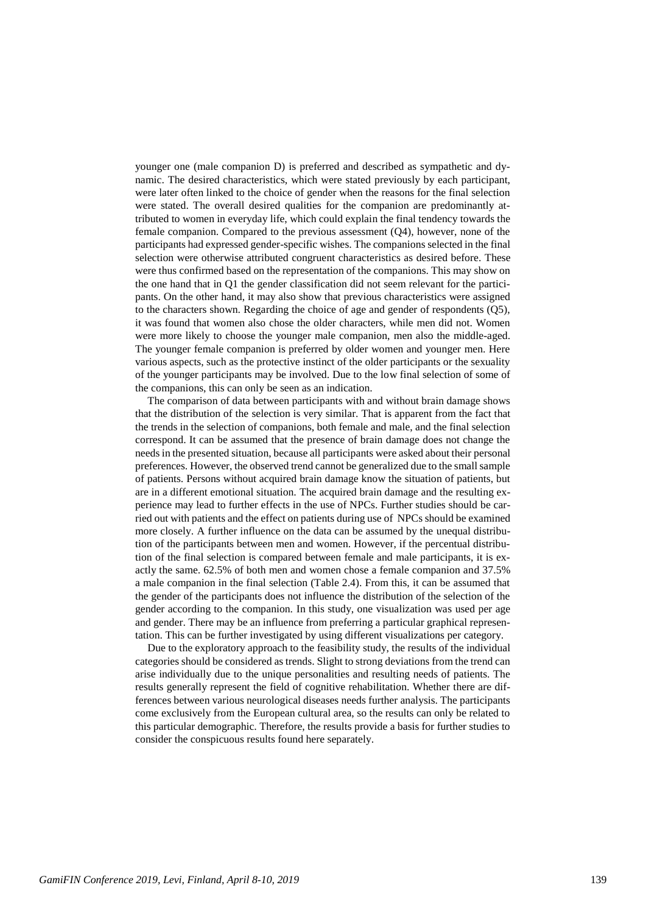younger one (male companion D) is preferred and described as sympathetic and dynamic. The desired characteristics, which were stated previously by each participant, were later often linked to the choice of gender when the reasons for the final selection were stated. The overall desired qualities for the companion are predominantly attributed to women in everyday life, which could explain the final tendency towards the female companion. Compared to the previous assessment (Q4), however, none of the participants had expressed gender-specific wishes. The companions selected in the final selection were otherwise attributed congruent characteristics as desired before. These were thus confirmed based on the representation of the companions. This may show on the one hand that in Q1 the gender classification did not seem relevant for the participants. On the other hand, it may also show that previous characteristics were assigned to the characters shown. Regarding the choice of age and gender of respondents (Q5), it was found that women also chose the older characters, while men did not. Women were more likely to choose the younger male companion, men also the middle-aged. The younger female companion is preferred by older women and younger men. Here various aspects, such as the protective instinct of the older participants or the sexuality of the younger participants may be involved. Due to the low final selection of some of the companions, this can only be seen as an indication.

The comparison of data between participants with and without brain damage shows that the distribution of the selection is very similar. That is apparent from the fact that the trends in the selection of companions, both female and male, and the final selection correspond. It can be assumed that the presence of brain damage does not change the needs in the presented situation, because all participants were asked about their personal preferences. However, the observed trend cannot be generalized due to the small sample of patients. Persons without acquired brain damage know the situation of patients, but are in a different emotional situation. The acquired brain damage and the resulting experience may lead to further effects in the use of NPCs. Further studies should be carried out with patients and the effect on patients during use of NPCs should be examined more closely. A further influence on the data can be assumed by the unequal distribution of the participants between men and women. However, if the percentual distribution of the final selection is compared between female and male participants, it is exactly the same. 62.5% of both men and women chose a female companion and 37.5% a male companion in the final selection (Table 2.4). From this, it can be assumed that the gender of the participants does not influence the distribution of the selection of the gender according to the companion. In this study, one visualization was used per age and gender. There may be an influence from preferring a particular graphical representation. This can be further investigated by using different visualizations per category.

Due to the exploratory approach to the feasibility study, the results of the individual categories should be considered as trends. Slight to strong deviations from the trend can arise individually due to the unique personalities and resulting needs of patients. The results generally represent the field of cognitive rehabilitation. Whether there are differences between various neurological diseases needs further analysis. The participants come exclusively from the European cultural area, so the results can only be related to this particular demographic. Therefore, the results provide a basis for further studies to consider the conspicuous results found here separately.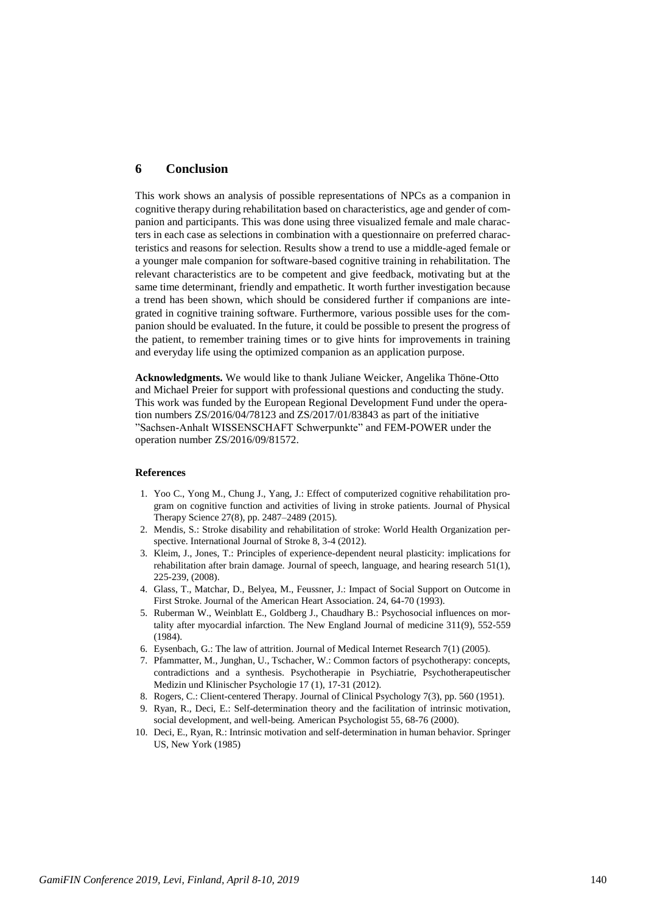# **6 Conclusion**

This work shows an analysis of possible representations of NPCs as a companion in cognitive therapy during rehabilitation based on characteristics, age and gender of companion and participants. This was done using three visualized female and male characters in each case as selections in combination with a questionnaire on preferred characteristics and reasons for selection. Results show a trend to use a middle-aged female or a younger male companion for software-based cognitive training in rehabilitation. The relevant characteristics are to be competent and give feedback, motivating but at the same time determinant, friendly and empathetic. It worth further investigation because a trend has been shown, which should be considered further if companions are integrated in cognitive training software. Furthermore, various possible uses for the companion should be evaluated. In the future, it could be possible to present the progress of the patient, to remember training times or to give hints for improvements in training and everyday life using the optimized companion as an application purpose.

**Acknowledgments.** We would like to thank Juliane Weicker, Angelika Thöne-Otto and Michael Preier for support with professional questions and conducting the study. This work was funded by the European Regional Development Fund under the operation numbers ZS/2016/04/78123 and ZS/2017/01/83843 as part of the initiative "Sachsen-Anhalt WISSENSCHAFT Schwerpunkte" and FEM-POWER under the operation number ZS/2016/09/81572.

#### **References**

- 1. Yoo C., Yong M., Chung J., Yang, J.: Effect of computerized cognitive rehabilitation program on cognitive function and activities of living in stroke patients. Journal of Physical Therapy Science 27(8), pp. 2487–2489 (2015).
- 2. Mendis, S.: Stroke disability and rehabilitation of stroke: World Health Organization perspective. International Journal of Stroke 8, 3-4 (2012).
- 3. Kleim, J., Jones, T.: Principles of experience-dependent neural plasticity: implications for rehabilitation after brain damage. Journal of speech, language, and hearing research 51(1), 225-239, (2008).
- 4. Glass, T., Matchar, D., Belyea, M., Feussner, J.: Impact of Social Support on Outcome in First Stroke. Journal of the American Heart Association. 24, 64-70 (1993).
- 5. Ruberman W., Weinblatt E., Goldberg J., Chaudhary B.: Psychosocial influences on mortality after myocardial infarction. The New England Journal of medicine 311(9), 552-559 (1984).
- 6. Eysenbach, G.: The law of attrition. Journal of Medical Internet Research 7(1) (2005).
- <span id="page-10-0"></span>7. Pfammatter, M., Junghan, U., Tschacher, W.: Common factors of psychotherapy: concepts, contradictions and a synthesis. Psychotherapie in Psychiatrie, Psychotherapeutischer Medizin und Klinischer Psychologie 17 (1), 17-31 (2012).
- <span id="page-10-1"></span>8. Rogers, C.: Client-centered Therapy. Journal of Clinical Psychology 7(3), pp. 560 (1951).
- <span id="page-10-2"></span>9. Ryan, R., Deci, E.: Self-determination theory and the facilitation of intrinsic motivation, social development, and well-being. American Psychologist 55, 68-76 (2000).
- <span id="page-10-3"></span>10. Deci, E., Ryan, R.: Intrinsic motivation and self-determination in human behavior. Springer US, New York (1985)